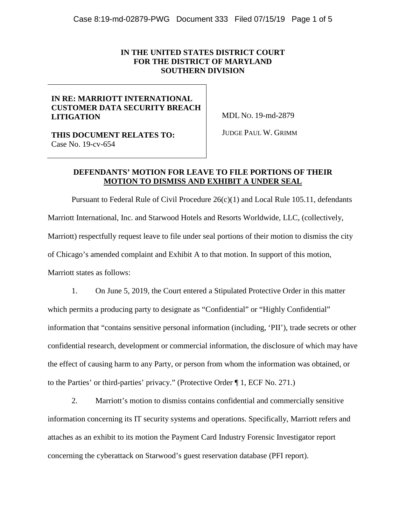### **IN THE UNITED STATES DISTRICT COURT FOR THE DISTRICT OF MARYLAND SOUTHERN DIVISION**

## **IN RE: MARRIOTT INTERNATIONAL CUSTOMER DATA SECURITY BREACH LITIGATION**

MDL NO. 19-md-2879

**THIS DOCUMENT RELATES TO:**  Case No. 19-cv-654

JUDGE PAUL W. GRIMM

## **DEFENDANTS' MOTION FOR LEAVE TO FILE PORTIONS OF THEIR MOTION TO DISMISS AND EXHIBIT A UNDER SEAL**

Pursuant to Federal Rule of Civil Procedure  $26(c)(1)$  and Local Rule 105.11, defendants Marriott International, Inc. and Starwood Hotels and Resorts Worldwide, LLC, (collectively, Marriott) respectfully request leave to file under seal portions of their motion to dismiss the city of Chicago's amended complaint and Exhibit A to that motion. In support of this motion, Marriott states as follows:

1. On June 5, 2019, the Court entered a Stipulated Protective Order in this matter which permits a producing party to designate as "Confidential" or "Highly Confidential" information that "contains sensitive personal information (including, 'PII'), trade secrets or other confidential research, development or commercial information, the disclosure of which may have the effect of causing harm to any Party, or person from whom the information was obtained, or to the Parties' or third-parties' privacy." (Protective Order ¶ 1, ECF No. 271.)

2. Marriott's motion to dismiss contains confidential and commercially sensitive information concerning its IT security systems and operations. Specifically, Marriott refers and attaches as an exhibit to its motion the Payment Card Industry Forensic Investigator report concerning the cyberattack on Starwood's guest reservation database (PFI report).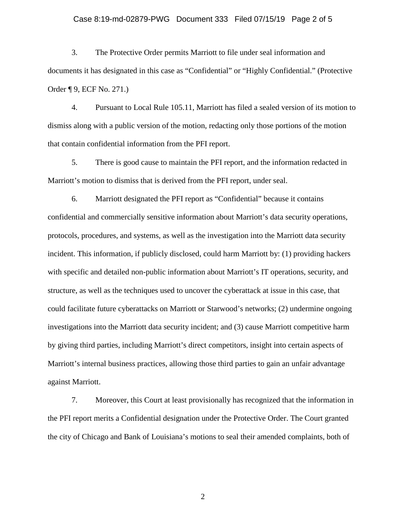#### Case 8:19-md-02879-PWG Document 333 Filed 07/15/19 Page 2 of 5

3. The Protective Order permits Marriott to file under seal information and documents it has designated in this case as "Confidential" or "Highly Confidential." (Protective Order ¶ 9, ECF No. 271.)

4. Pursuant to Local Rule 105.11, Marriott has filed a sealed version of its motion to dismiss along with a public version of the motion, redacting only those portions of the motion that contain confidential information from the PFI report.

5. There is good cause to maintain the PFI report, and the information redacted in Marriott's motion to dismiss that is derived from the PFI report, under seal.

6. Marriott designated the PFI report as "Confidential" because it contains confidential and commercially sensitive information about Marriott's data security operations, protocols, procedures, and systems, as well as the investigation into the Marriott data security incident. This information, if publicly disclosed, could harm Marriott by: (1) providing hackers with specific and detailed non-public information about Marriott's IT operations, security, and structure, as well as the techniques used to uncover the cyberattack at issue in this case, that could facilitate future cyberattacks on Marriott or Starwood's networks; (2) undermine ongoing investigations into the Marriott data security incident; and (3) cause Marriott competitive harm by giving third parties, including Marriott's direct competitors, insight into certain aspects of Marriott's internal business practices, allowing those third parties to gain an unfair advantage against Marriott.

7. Moreover, this Court at least provisionally has recognized that the information in the PFI report merits a Confidential designation under the Protective Order. The Court granted the city of Chicago and Bank of Louisiana's motions to seal their amended complaints, both of

2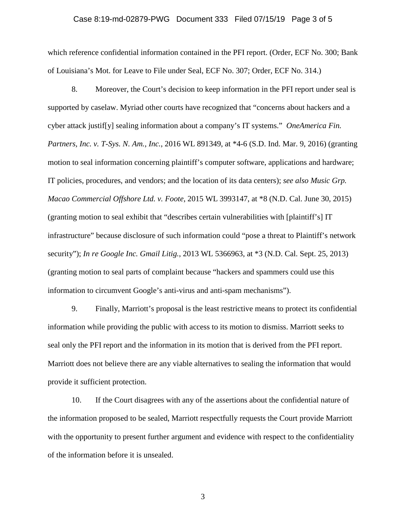#### Case 8:19-md-02879-PWG Document 333 Filed 07/15/19 Page 3 of 5

which reference confidential information contained in the PFI report. (Order, ECF No. 300; Bank of Louisiana's Mot. for Leave to File under Seal, ECF No. 307; Order, ECF No. 314.)

8. Moreover, the Court's decision to keep information in the PFI report under seal is supported by caselaw. Myriad other courts have recognized that "concerns about hackers and a cyber attack justif[y] sealing information about a company's IT systems." *OneAmerica Fin. Partners, Inc. v. T-Sys. N. Am., Inc.*, 2016 WL 891349, at \*4-6 (S.D. Ind. Mar. 9, 2016) (granting motion to seal information concerning plaintiff's computer software, applications and hardware; IT policies, procedures, and vendors; and the location of its data centers); *see also Music Grp. Macao Commercial Offshore Ltd. v. Foote*, 2015 WL 3993147, at \*8 (N.D. Cal. June 30, 2015) (granting motion to seal exhibit that "describes certain vulnerabilities with [plaintiff's] IT infrastructure" because disclosure of such information could "pose a threat to Plaintiff's network security"); *In re Google Inc. Gmail Litig.*, 2013 WL 5366963, at \*3 (N.D. Cal. Sept. 25, 2013) (granting motion to seal parts of complaint because "hackers and spammers could use this information to circumvent Google's anti-virus and anti-spam mechanisms").

9. Finally, Marriott's proposal is the least restrictive means to protect its confidential information while providing the public with access to its motion to dismiss. Marriott seeks to seal only the PFI report and the information in its motion that is derived from the PFI report. Marriott does not believe there are any viable alternatives to sealing the information that would provide it sufficient protection.

10. If the Court disagrees with any of the assertions about the confidential nature of the information proposed to be sealed, Marriott respectfully requests the Court provide Marriott with the opportunity to present further argument and evidence with respect to the confidentiality of the information before it is unsealed.

3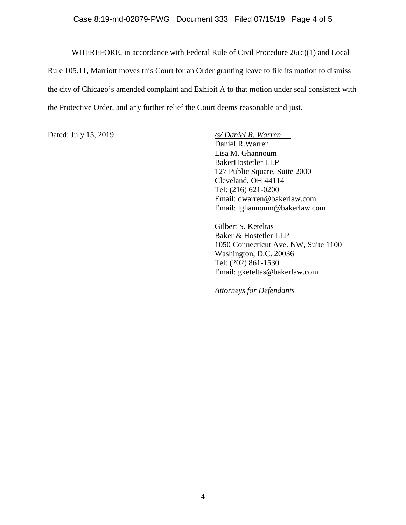#### Case 8:19-md-02879-PWG Document 333 Filed 07/15/19 Page 4 of 5

WHEREFORE, in accordance with Federal Rule of Civil Procedure 26(c)(1) and Local Rule 105.11, Marriott moves this Court for an Order granting leave to file its motion to dismiss the city of Chicago's amended complaint and Exhibit A to that motion under seal consistent with the Protective Order, and any further relief the Court deems reasonable and just.

Dated: July 15, 2019 */s/ Daniel R. Warren*  Daniel R.Warren Lisa M. Ghannoum BakerHostetler LLP 127 Public Square, Suite 2000 Cleveland, OH 44114 Tel: (216) 621-0200 Email: dwarren@bakerlaw.com Email: lghannoum@bakerlaw.com

> Gilbert S. Keteltas Baker & Hostetler LLP 1050 Connecticut Ave. NW, Suite 1100 Washington, D.C. 20036 Tel: (202) 861-1530 Email: gketeltas@bakerlaw.com

*Attorneys for Defendants*